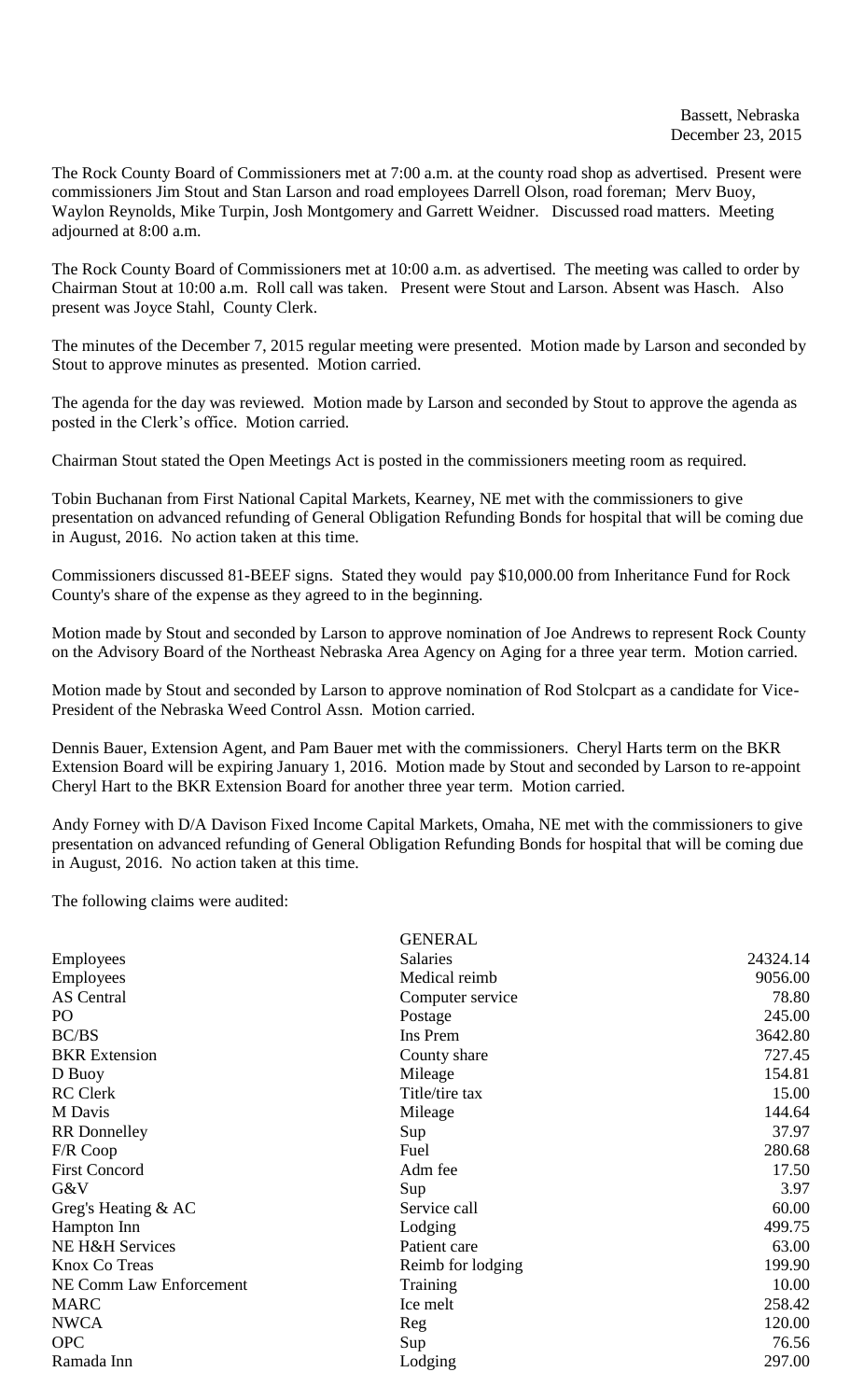The Rock County Board of Commissioners met at 7:00 a.m. at the county road shop as advertised. Present were commissioners Jim Stout and Stan Larson and road employees Darrell Olson, road foreman; Merv Buoy, Waylon Reynolds, Mike Turpin, Josh Montgomery and Garrett Weidner. Discussed road matters. Meeting adjourned at 8:00 a.m.

The Rock County Board of Commissioners met at 10:00 a.m. as advertised. The meeting was called to order by Chairman Stout at 10:00 a.m. Roll call was taken. Present were Stout and Larson. Absent was Hasch. Also present was Joyce Stahl, County Clerk.

The minutes of the December 7, 2015 regular meeting were presented. Motion made by Larson and seconded by Stout to approve minutes as presented. Motion carried.

The agenda for the day was reviewed. Motion made by Larson and seconded by Stout to approve the agenda as posted in the Clerk's office. Motion carried.

Chairman Stout stated the Open Meetings Act is posted in the commissioners meeting room as required.

Tobin Buchanan from First National Capital Markets, Kearney, NE met with the commissioners to give presentation on advanced refunding of General Obligation Refunding Bonds for hospital that will be coming due in August, 2016. No action taken at this time.

Commissioners discussed 81-BEEF signs. Stated they would pay \$10,000.00 from Inheritance Fund for Rock County's share of the expense as they agreed to in the beginning.

Motion made by Stout and seconded by Larson to approve nomination of Joe Andrews to represent Rock County on the Advisory Board of the Northeast Nebraska Area Agency on Aging for a three year term. Motion carried.

Motion made by Stout and seconded by Larson to approve nomination of Rod Stolcpart as a candidate for Vice-President of the Nebraska Weed Control Assn. Motion carried.

Dennis Bauer, Extension Agent, and Pam Bauer met with the commissioners. Cheryl Harts term on the BKR Extension Board will be expiring January 1, 2016. Motion made by Stout and seconded by Larson to re-appoint Cheryl Hart to the BKR Extension Board for another three year term. Motion carried.

Andy Forney with D/A Davison Fixed Income Capital Markets, Omaha, NE met with the commissioners to give presentation on advanced refunding of General Obligation Refunding Bonds for hospital that will be coming due in August, 2016. No action taken at this time.

The following claims were audited:

|                            | <b>GENERAL</b>    |          |
|----------------------------|-------------------|----------|
| <b>Employees</b>           | <b>Salaries</b>   | 24324.14 |
| Employees                  | Medical reimb     | 9056.00  |
| <b>AS</b> Central          | Computer service  | 78.80    |
| PO                         | Postage           | 245.00   |
| BC/BS                      | Ins Prem          | 3642.80  |
| <b>BKR</b> Extension       | County share      | 727.45   |
| D Buoy                     | Mileage           | 154.81   |
| <b>RC</b> Clerk            | Title/tire tax    | 15.00    |
| M Davis                    | Mileage           | 144.64   |
| <b>RR</b> Donnelley        | Sup               | 37.97    |
| F/R Coop                   | Fuel              | 280.68   |
| <b>First Concord</b>       | Adm fee           | 17.50    |
| G&V                        | Sup               | 3.97     |
| Greg's Heating & AC        | Service call      | 60.00    |
| Hampton Inn                | Lodging           | 499.75   |
| <b>NE H&amp;H Services</b> | Patient care      | 63.00    |
| Knox Co Treas              | Reimb for lodging | 199.90   |
| NE Comm Law Enforcement    | Training          | 10.00    |
| <b>MARC</b>                | Ice melt          | 258.42   |
| <b>NWCA</b>                | Reg               | 120.00   |
| <b>OPC</b>                 | Sup               | 76.56    |
| Ramada Inn                 | Lodging           | 297.00   |